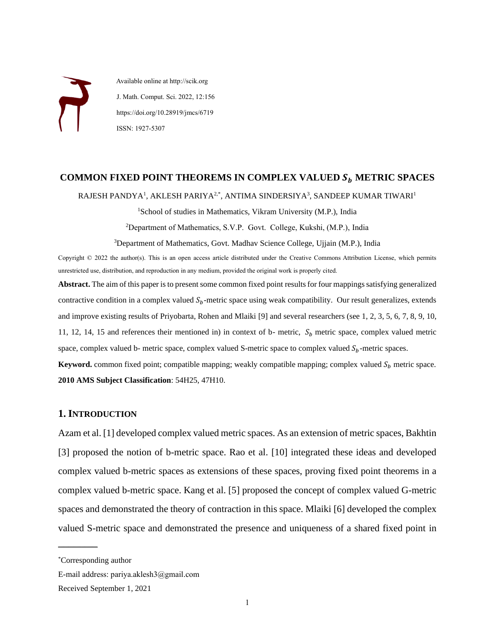Available online at http://scik.org J. Math. Comput. Sci. 2022, 12:156 https://doi.org/10.28919/jmcs/6719 ISSN: 1927-5307

# COMMON FIXED POINT THEOREMS IN COMPLEX VALUED  $S_b$  METRIC SPACES

 $\mathsf{RAJESH}\ \mathsf{PANDYA}^1, \ \mathsf{AKLESH}\ \mathsf{PARIYA}^{2, *}, \ \mathsf{ANTIMA}\ \mathsf{SINDERSIYA}^3, \ \mathsf{SANDEEP}\ \mathsf{KUMAR}\ \mathsf{TIWARI}^1.$ 

<sup>1</sup>School of studies in Mathematics, Vikram University (M.P.), India

<sup>2</sup>Deраrtment оf Mаthemаtiсs, S.V.Р. Gоvt. Соllege, Kukshi, (M.Р.), Indiа

<sup>3</sup>Department of Mathematics, Govt. Madhav Science College, Ujjain (M.P.), India

Copyright © 2022 the author(s). This is an open access article distributed under the Creative Commons Attribution License, which permits unrestricted use, distribution, and reproduction in any medium, provided the original work is properly cited.

**Abstract.** The aim of this paper is to present some common fixed point results for four mappings satisfying generalized contractive condition in a complex valued  $S_h$ -metric space using weak compatibility. Our result generalizes, extends and improve existing results of Priyobarta, Rohen and Mlaiki [9] and several researchers (see 1, 2, 3, 5, 6, 7, 8, 9, 10, 11, 12, 14, 15 and references their mentioned in) in context of b- metric,  $S_h$  metric space, complex valued metric space, complex valued b- metric space, complex valued S-metric space to complex valued  $S_b$ -metric spaces.

**Keyword.** common fixed point; compatible mapping; weakly compatible mapping; complex valued  $S_b$  metric space. **2010 AMS Subject Classification**: 54H25, 47H10.

#### **1. INTRODUCTION**

Azam et al. [1] developed complex valued metric spaces. As an extension of metric spaces, Bakhtin [3] proposed the notion of b-metric space. Rao et al. [10] integrated these ideas and developed complex valued b-metric spaces as extensions of these spaces, proving fixed point theorems in a complex valued b-metric space. Kang et al. [5] proposed the concept of complex valued G-metric spaces and demonstrated the theory of contraction in this space. Mlaiki [6] developed the complex valued S-metric space and demonstrated the presence and uniqueness of a shared fixed point in

 $\overline{\phantom{a}}$ 

<sup>\*</sup>Corresponding author

E-mail address: раriyа.аklesh3@gmаil.соm

Received September 1, 2021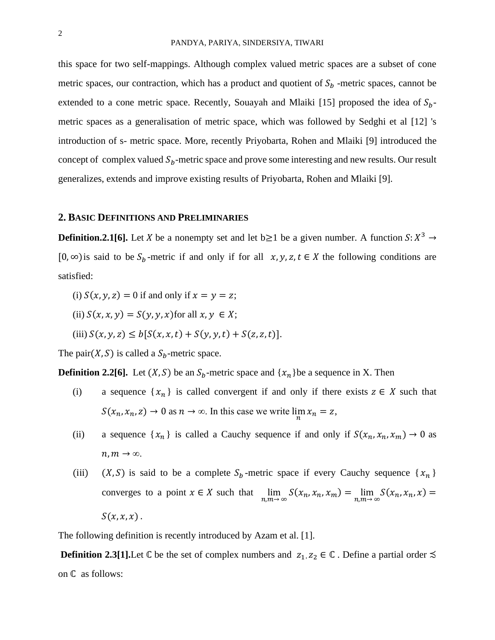this space for two self-mappings. Although complex valued metric spaces are a subset of cone metric spaces, our contraction, which has a product and quotient of  $S_b$  -metric spaces, cannot be extended to a cone metric space. Recently, Souayah and Mlaiki [15] proposed the idea of  $S_h$ metric spaces as a generalisation of metric space, which was followed by Sedghi et al [12] 's introduction of s- metric space. More, recently Priyobarta, Rohen and Mlaiki [9] introduced the concept of complex valued  $S_b$ -metric space and prove some interesting and new results. Our result generalizes, extends and improve existing results of Priyobarta, Rohen and Mlaiki [9].

#### **2. BASIC DEFINITIONS AND PRELIMINARIES**

**Definition.2.1[6].** Let X be a nonempty set and let  $b \ge 1$  be a given number. A function  $S: X^3 \to Y$ [0, ∞) is said to be  $S_b$ -metric if and only if for all  $x, y, z, t \in X$  the following conditions are satisfied:

- (i)  $S(x, y, z) = 0$  if and only if  $x = y = z$ ;
- (ii)  $S(x, x, y) = S(y, y, x)$  for all  $x, y \in X$ ;
- (iii)  $S(x, y, z) \le b[S(x, x, t) + S(y, y, t) + S(z, z, t)].$

The pair( $X$ ,  $S$ ) is called a  $S_b$ -metric space.

**Definition 2.2[6].** Let  $(X, S)$  be an  $S_b$ -metric space and  $\{x_n\}$ be a sequence in X. Then

- (i) a sequence  $\{x_n\}$  is called convergent if and only if there exists  $z \in X$  such that  $S(x_n, x_n, z) \to 0$  as  $n \to \infty$ . In this case we write  $\lim_{n} x_n = z$ ,
- (ii) a sequence  $\{x_n\}$  is called a Cauchy sequence if and only if  $S(x_n, x_n, x_m) \to 0$  as  $n, m \rightarrow \infty$ .
- (iii)  $(X, S)$  is said to be a complete  $S_b$ -metric space if every Cauchy sequence  $\{x_n\}$ converges to a point  $x \in X$  such that  $\lim_{n,m \to \infty} S(x_n, x_n, x_m) = \lim_{n,m \to \infty} S(x_n, x_n, x) =$  $S(x, x, x)$ .

The following definition is recently introduced by Azam et al. [1].

**Definition 2.3[1].**Let  $\mathbb C$  be the set of complex numbers and  $z_1, z_2 \in \mathbb C$ . Define a partial order  $\precsim$ on  $\mathbb C$  as follows: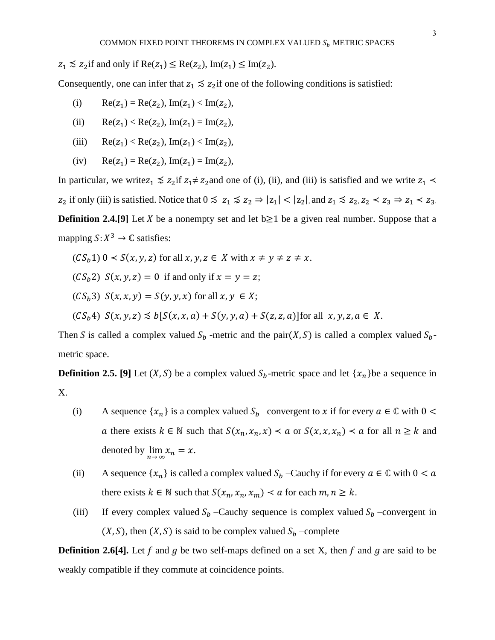$z_1 \lesssim z_2$  if and only if  $\text{Re}(z_1) \leq \text{Re}(z_2)$ ,  $\text{Im}(z_1) \leq \text{Im}(z_2)$ .

Consequently, one can infer that  $z_1 \leq z_2$  if one of the following conditions is satisfied:

- (i)  $\text{Re}(z_1) = \text{Re}(z_2), \text{Im}(z_1) < \text{Im}(z_2),$
- (ii)  $\text{Re}(z_1) < \text{Re}(z_2)$ ,  $\text{Im}(z_1) = \text{Im}(z_2)$ ,
- (iii)  $\text{Re}(z_1) < \text{Re}(z_2)$ ,  $\text{Im}(z_1) < \text{Im}(z_2)$ ,
- (iv)  $\text{Re}(z_1) = \text{Re}(z_2), \text{Im}(z_1) = \text{Im}(z_2),$

In particular, we write  $z_1 \leq z_2$  if  $z_1 \neq z_2$  and one of (i), (ii), and (iii) is satisfied and we write  $z_1$  <  $z_2$  if only (iii) is satisfied. Notice that  $0 \le z_1 \le z_2 \Rightarrow |z_1| < |z_2|$ , and  $z_1 \le z_2$ ,  $z_2 < z_3 \Rightarrow z_1 < z_3$ . **Definition 2.4.[9]** Let *X* be a nonempty set and let  $b \ge 1$  be a given real number. Suppose that a mapping  $S: X^3 \to \mathbb{C}$  satisfies:

$$
(CS_b 1) 0 < S(x, y, z) \text{ for all } x, y, z \in X \text{ with } x \neq y \neq z \neq x.
$$

 $(CS_h 2)$   $S(x, y, z) = 0$  if and only if  $x = y = z$ ;

 $(CS_h 3)$   $S(x, x, y) = S(y, y, x)$  for all  $x, y \in X$ ;

 $(CS_b 4)$   $S(x, y, z) \preceq b[S(x, x, a) + S(y, y, a) + S(z, z, a)]$  for all  $x, y, z, a \in X$ .

Then S is called a complex valued  $S_b$  -metric and the pair(X, S) is called a complex valued  $S_b$ metric space.

**Definition 2.5. [9]** Let  $(X, S)$  be a complex valued  $S_b$ -metric space and let  $\{x_n\}$ be a sequence in X.

- (i) A sequence  $\{x_n\}$  is a complex valued  $S_b$  –convergent to x if for every  $a \in \mathbb{C}$  with  $0 <$ a there exists  $k \in \mathbb{N}$  such that  $S(x_n, x_n, x) \le a$  or  $S(x, x, x_n) \le a$  for all  $n \ge k$  and denoted by  $\lim_{n \to \infty} x_n = x$ .
- (ii) A sequence  $\{x_n\}$  is called a complex valued  $S_b$  –Cauchy if for every  $a \in \mathbb{C}$  with  $0 < a$ there exists  $k \in \mathbb{N}$  such that  $S(x_n, x_n, x_m) \le a$  for each  $m, n \ge k$ .
- (iii) If every complex valued  $S_b$  –Cauchy sequence is complex valued  $S_b$  –convergent in  $(X, S)$ , then  $(X, S)$  is said to be complex valued  $S_b$  –complete

**Definition 2.6[4].** Let f and g be two self-maps defined on a set X, then f and g are said to be weakly compatible if they commute at coincidence points.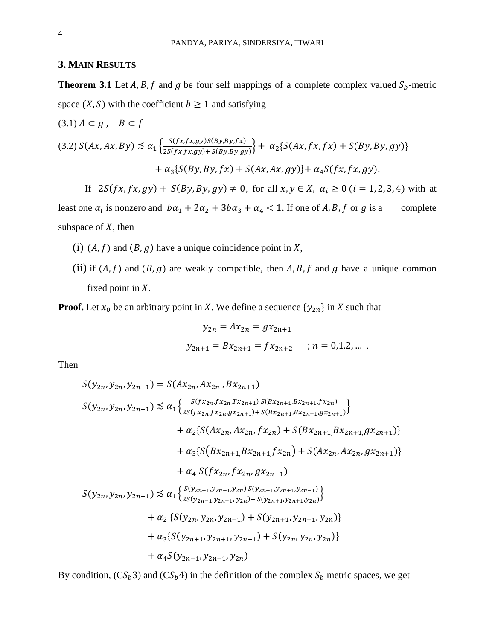### **3. MAIN RESULTS**

**Theorem 3.1** Let A, B, f and g be four self mappings of a complete complex valued  $S_b$ -metric space  $(X, S)$  with the coefficient  $b \ge 1$  and satisfying

$$
(3.1) A \subset g, \quad B \subset f
$$
\n
$$
(3.2) S(Ax, Ax, By) \lesssim \alpha_1 \left\{ \frac{S(fx, fx, gy)S(By, By, fx)}{2S(fx, fx, gy) + S(By, By, gy)} \right\} + \alpha_2 \{ S(Ax, fx, fx) + S(By, By, gy) \}
$$
\n
$$
+ \alpha_3 \{ S(By, By, fx) + S(Ax, Ax, gy) \} + \alpha_4 S(fx, fx, gy).
$$

If  $2S(fx, fx, gy) + S(By, By, gy) \neq 0$ , for all  $x, y \in X$ ,  $\alpha_i \geq 0$  ( $i = 1, 2, 3, 4$ ) with at least one  $\alpha_i$  is nonzero and  $b\alpha_1 + 2\alpha_2 + 3b\alpha_3 + \alpha_4 < 1$ . If one of A, B, f or g is a complete subspace of  $X$ , then

- (i)  $(A, f)$  and  $(B, g)$  have a unique coincidence point in X,
- (ii) if  $(A, f)$  and  $(B, g)$  are weakly compatible, then A, B, f and g have a unique common fixed point in  $X$ .

**Proof.** Let  $x_0$  be an arbitrary point in X. We define a sequence  $\{y_{2n}\}$  in X such that

$$
y_{2n} = Ax_{2n} = gx_{2n+1}
$$
  

$$
y_{2n+1} = Bx_{2n+1} = fx_{2n+2} \qquad ; n = 0,1,2,...
$$

Then

$$
S(y_{2n}, y_{2n}, y_{2n+1}) = S(Ax_{2n}, Ax_{2n}, Bx_{2n+1})
$$
  
\n
$$
S(y_{2n}, y_{2n}, y_{2n+1}) \leq \alpha_1 \left\{ \frac{S(f x_{2n}, f x_{2n}, T x_{2n+1}) S(Bx_{2n+1}, Bx_{2n+1}, f x_{2n})}{2S(f x_{2n}, f x_{2n}, g x_{2n+1}) + S(Bx_{2n+1}, Bx_{2n+1}, g x_{2n+1})} + \alpha_2 \{ S(Ax_{2n}, Ax_{2n}, f x_{2n}) + S(Bx_{2n+1}, Bx_{2n+1}, g x_{2n+1}) \} + \alpha_3 \{ S(Bx_{2n+1}, Bx_{2n+1}, f x_{2n}) + S(Ax_{2n}, Ax_{2n}, g x_{2n+1}) \} + \alpha_4 S(f x_{2n}, f x_{2n}, g x_{2n+1})
$$
  
\n
$$
S(y_{2n}, y_{2n}, y_{2n+1}) \leq \alpha_1 \left\{ \frac{S(y_{2n-1}, y_{2n-1}, y_{2n}) S(y_{2n+1}, y_{2n+1}, y_{2n-1})}{2S(y_{2n-1}, y_{2n-1}, y_{2n}) + S(y_{2n+1}, y_{2n+1}, y_{2n})} \right\}
$$
  
\n
$$
+ \alpha_2 \{ S(y_{2n}, y_{2n}, y_{2n-1}) + S(y_{2n+1}, y_{2n+1}, y_{2n}) \}
$$
  
\n
$$
+ \alpha_3 \{ S(y_{2n+1}, y_{2n+1}, y_{2n-1}) + S(y_{2n}, y_{2n}, y_{2n}) \}
$$
  
\n
$$
+ \alpha_4 S(y_{2n-1}, y_{2n-1}, y_{2n})
$$

By condition,  $(CS_b 3)$  and  $(CS_b 4)$  in the definition of the complex  $S_b$  metric spaces, we get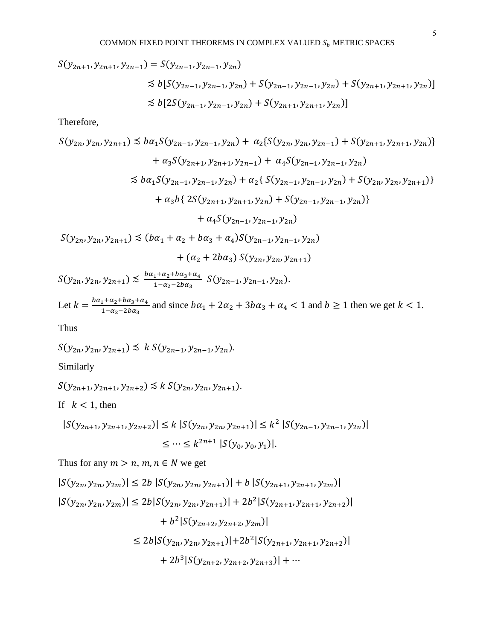$$
S(y_{2n+1}, y_{2n+1}, y_{2n-1}) = S(y_{2n-1}, y_{2n-1}, y_{2n})
$$
  
\n
$$
\precsim b[S(y_{2n-1}, y_{2n-1}, y_{2n}) + S(y_{2n-1}, y_{2n-1}, y_{2n}) + S(y_{2n+1}, y_{2n+1}, y_{2n})]
$$
  
\n
$$
\precsim b[2S(y_{2n-1}, y_{2n-1}, y_{2n}) + S(y_{2n+1}, y_{2n+1}, y_{2n})]
$$

Therefore,

$$
S(y_{2n}, y_{2n}, y_{2n+1}) \leq ba_1 S(y_{2n-1}, y_{2n-1}, y_{2n}) + a_2 \{ S(y_{2n}, y_{2n}, y_{2n-1}) + S(y_{2n+1}, y_{2n+1}, y_{2n}) \}
$$
  
+  $a_3 S(y_{2n+1}, y_{2n+1}, y_{2n-1}) + a_4 S(y_{2n-1}, y_{2n-1}, y_{2n})$   

$$
\leq ba_1 S(y_{2n-1}, y_{2n-1}, y_{2n}) + a_2 \{ S(y_{2n-1}, y_{2n-1}, y_{2n}) + S(y_{2n}, y_{2n}, y_{2n+1}) \}
$$
  
+  $a_3 b \{ 2S(y_{2n+1}, y_{2n+1}, y_{2n}) + S(y_{2n-1}, y_{2n-1}, y_{2n}) \}$   
+  $a_4 S(y_{2n-1}, y_{2n-1}, y_{2n})$   

$$
S(y_{2n}, y_{2n}, y_{2n+1}) \leq (ba_1 + a_2 + ba_3 + a_4) S(y_{2n-1}, y_{2n-1}, y_{2n})
$$
  
+  $(a_2 + 2ba_3) S(y_{2n}, y_{2n}, y_{2n+1})$ 

 $S(y_{2n}, y_{2n}, y_{2n+1}) \precsim \frac{b\alpha_1 + \alpha_2 + b\alpha_3 + \alpha_4}{1 - \alpha_2 - 2b\alpha_3}$  $rac{1+a_2+ba_3+a_4}{1-a_2-2ba_3}$   $S(y_{2n-1}, y_{2n-1}, y_{2n}).$ 

Let  $k = \frac{b\alpha_1 + \alpha_2 + b\alpha_3 + \alpha_4}{1-\alpha_1+2h\alpha_2}$  $\frac{1+a_2+b_4a_3+a_4}{1-a_2-b_4a_3}$  and since  $b\alpha_1 + 2\alpha_2 + 3b\alpha_3 + \alpha_4 < 1$  and  $b \ge 1$  then we get  $k < 1$ .

Thus

 $S(y_{2n}, y_{2n}, y_{2n+1}) \preceq k S(y_{2n-1}, y_{2n-1}, y_{2n}).$ 

Similarly

$$
S(y_{2n+1}, y_{2n+1}, y_{2n+2}) \preceq k S(y_{2n}, y_{2n}, y_{2n+1}).
$$

If  $k < 1$ , then

$$
|S(y_{2n+1}, y_{2n+1}, y_{2n+2})| \le k |S(y_{2n}, y_{2n}, y_{2n+1})| \le k^2 |S(y_{2n-1}, y_{2n-1}, y_{2n})|
$$
  

$$
\le \cdots \le k^{2n+1} |S(y_0, y_0, y_1)|.
$$

Thus for any  $m > n$ ,  $m, n \in N$  we get

$$
|S(y_{2n}, y_{2n}, y_{2m})| \le 2b |S(y_{2n}, y_{2n}, y_{2n+1})| + b |S(y_{2n+1}, y_{2n+1}, y_{2m})|
$$
  
\n
$$
|S(y_{2n}, y_{2n}, y_{2m})| \le 2b|S(y_{2n}, y_{2n}, y_{2n+1})| + 2b^2|S(y_{2n+1}, y_{2n+1}, y_{2n+2})|
$$
  
\n
$$
+ b^2|S(y_{2n+2}, y_{2n+2}, y_{2m})|
$$
  
\n
$$
\le 2b|S(y_{2n}, y_{2n}, y_{2n+1})| + 2b^2|S(y_{2n+1}, y_{2n+1}, y_{2n+2})|
$$
  
\n
$$
+ 2b^3|S(y_{2n+2}, y_{2n+2}, y_{2n+3})| + \cdots
$$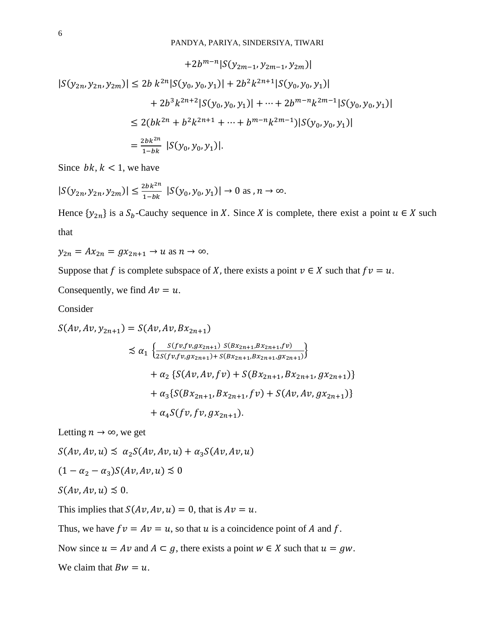$$
+2b^{m-n}|S(y_{2m-1}, y_{2m-1}, y_{2m})|
$$
  
\n
$$
|S(y_{2n}, y_{2n}, y_{2m})| \le 2b k^{2n}|S(y_0, y_0, y_1)| + 2b^2k^{2n+1}|S(y_0, y_0, y_1)|
$$
  
\n
$$
+ 2b^3k^{2n+2}|S(y_0, y_0, y_1)| + \dots + 2b^{m-n}k^{2m-1}|S(y_0, y_0, y_1)|
$$
  
\n
$$
\le 2(bk^{2n} + b^2k^{2n+1} + \dots + b^{m-n}k^{2m-1})|S(y_0, y_0, y_1)|
$$
  
\n
$$
= \frac{2bk^{2n}}{1-bk} |S(y_0, y_0, y_1)|.
$$

Since  $bk, k < 1$ , we have

$$
|S(y_{2n}, y_{2n}, y_{2m})| \le \frac{2bk^{2n}}{1-bk} |S(y_0, y_0, y_1)| \to 0 \text{ as } n \to \infty.
$$

Hence  $\{y_{2n}\}\$ is a  $S_b$ -Cauchy sequence in X. Since X is complete, there exist a point  $u \in X$  such that

$$
y_{2n} = Ax_{2n} = gx_{2n+1} \to u \text{ as } n \to \infty.
$$

Suppose that f is complete subspace of X, there exists a point  $v \in X$  such that  $f v = u$ .

Consequently, we find 
$$
Av = u
$$
.

Consider

$$
S(Av, Av, y_{2n+1}) = S(Av, Av, Bx_{2n+1})
$$
  
\n
$$
\lesssim \alpha_1 \left\{ \frac{S(fv, fv, gx_{2n+1}) S(Bx_{2n+1}, Bx_{2n+1}, fv)}{2S(fv, fv, gx_{2n+1}) + S(Bx_{2n+1}, Bx_{2n+1}, gx_{2n+1})} \right\}
$$
  
\n
$$
+ \alpha_2 \left\{ S(Av, Av, fv) + S(Bx_{2n+1}, Bx_{2n+1}, gx_{2n+1}) \right\}
$$
  
\n
$$
+ \alpha_3 \left\{ S(Bx_{2n+1}, Bx_{2n+1}, fv) + S(Av, Av, gx_{2n+1}) \right\}
$$
  
\n
$$
+ \alpha_4 S(fv, fv, gx_{2n+1}).
$$

Letting  $n \to \infty$ , we get

 $S(Av, Av, u) \preceq \alpha_2 S(Av, Av, u) + \alpha_3 S(Av, Av, u)$ 

$$
(1 - \alpha_2 - \alpha_3) S(Av, Av, u) \lesssim 0
$$

$$
S(Av,Av,u)\lesssim 0.
$$

This implies that  $S(Av, Av, u) = 0$ , that is  $Av = u$ .

Thus, we have  $fv = Av = u$ , so that u is a coincidence point of A and f.

Now since  $u = Av$  and  $A \subset g$ , there exists a point  $w \in X$  such that  $u = gw$ .

We claim that  $Bw = u$ .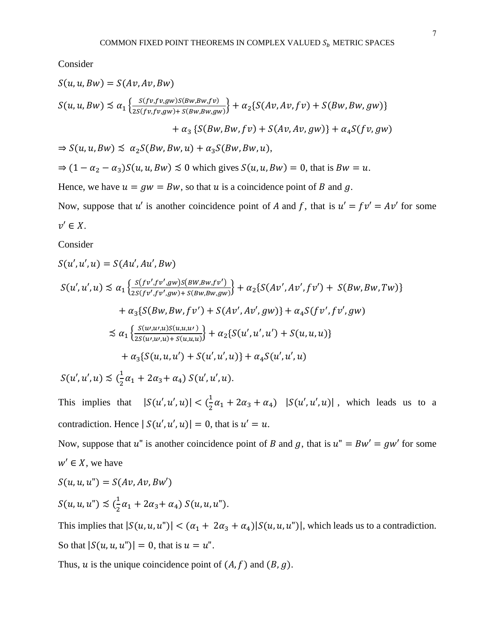Consider

$$
S(u, u, Bw) = S(Av, Av, Bw)
$$
  
\n
$$
S(u, u, Bw) \le \alpha_1 \left\{ \frac{S(fv, fv, gw)S(Bw, Bw, fv)}{2S(fv, fv, gw) + S(Bw, Bw, gw)} \right\} + \alpha_2 \{ S(Av, Av, fv) + S(Bw, Bw, gw) \}
$$
  
\n
$$
+ \alpha_3 \{ S(Bw, Bw, fv) + S(Av, Av, gw) \} + \alpha_4 S(fv, gw)
$$
  
\n
$$
\Rightarrow S(u, u, Bw) \le \alpha_2 S(Bw, Bw, u) + \alpha_3 S(Bw, Bw, u),
$$
  
\n
$$
\Rightarrow (1 - \alpha_2 - \alpha_3) S(u, u, Bw) \le 0 \text{ which gives } S(u, u, Bw) = 0, \text{ that is } Bw = u.
$$
  
\nHence, we have  $u = gw = Bw$ , so that u is a coincidence point of B and g.  
\nNow suppose that u' is another coincidence point of A and f that is  $u' = fv' = Av'$ 

Now, suppose that u' is another coincidence point of A and f, that is  $u' = fv' = Av'$  for some  $v' \in X$ .

Consider

$$
S(u', u', u) = S(Au', Au', Bw)
$$
  
\n
$$
S(u', u', u) \le \alpha_1 \left\{ \frac{S(fv', fv', gw)S(BW, Bw, fv')}{2S(fv', fv', gw) + S(Bw, Bw, gw)} \right\} + \alpha_2 \{ S(Av', Av', fv') + S(Bw, Bw, Tw) \}
$$
  
\n
$$
+ \alpha_3 \{ S(Bw, Bw, fv') + S(Av', Av', gw) \} + \alpha_4 S(fv', fv', gw)
$$
  
\n
$$
\le \alpha_1 \left\{ \frac{S(u, u', u)S(u, u, u')}{2S(u', u', u) + S(u, u, u)} \right\} + \alpha_2 \{ S(u', u', u') + S(u, u, u) \}
$$
  
\n
$$
+ \alpha_3 \{ S(u, u, u') + S(u', u', u) \} + \alpha_4 S(u', u', u)
$$
  
\n
$$
S(u', u', u) \le (\frac{1}{2}\alpha_1 + 2\alpha_3 + \alpha_4) S(u', u', u).
$$

This implies that  $|S(u', u', u)| < \left(\frac{1}{2}\right)$  $\frac{1}{2}\alpha_1 + 2\alpha_3 + \alpha_4$ )  $|S(u', u', u)|$ , which leads us to a contradiction. Hence  $|S(u', u', u)| = 0$ , that is  $u' = u$ .

Now, suppose that u" is another coincidence point of B and g, that is  $u'' = Bw' = gw'$  for some  $w' \in X$ , we have

$$
S(u, u, u") = S(Av, Av, Bw')
$$
  

$$
S(u, u, u") \leq (\frac{1}{2}\alpha_1 + 2\alpha_3 + \alpha_4) S(u, u, u").
$$

This implies that  $|S(u, u, u'')| < (\alpha_1 + 2\alpha_3 + \alpha_4)|S(u, u, u'')|$ , which leads us to a contradiction. So that  $|S(u, u, u'')| = 0$ , that is  $u = u''$ .

Thus,  $u$  is the unique coincidence point of  $(A, f)$  and  $(B, g)$ .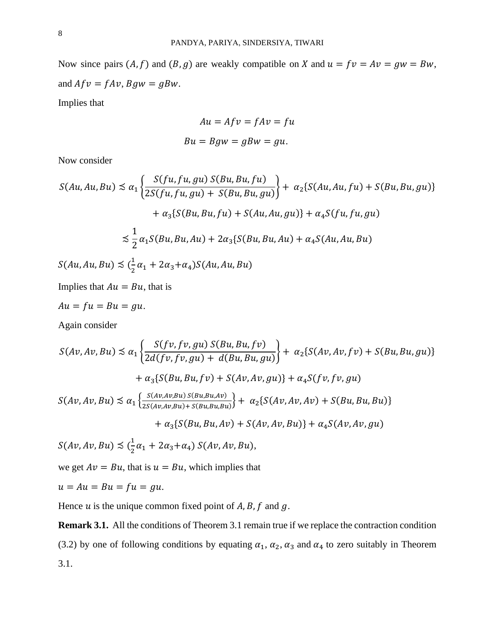Now since pairs  $(A, f)$  and  $(B, g)$  are weakly compatible on X and  $u = fv = Av = gw = Bw$ , and  $Afv = fAv$ ,  $Bgw = gBw$ .

Implies that

$$
Au = Afv = fAv = fu
$$

$$
Bu = Bgw = gBw = gu.
$$

Now consider

$$
S(Au, Au, Bu) \preceq \alpha_1 \left\{ \frac{S(fu, fu, gu) S(Bu, Bu, fu)}{2S(fu, fu, gu) + S(Bu, Bu, gu)} \right\} + \alpha_2 \{ S(Au, Au, fu) + S(Bu, Bu, gu) \}
$$

$$
+ \alpha_3 \{ S(Bu, Bu, fu) + S(Au, Au, gu) \} + \alpha_4 S(fu, fu, gu)
$$

$$
\preceq \frac{1}{2} \alpha_1 S(Bu, Bu, Au) + 2 \alpha_3 \{ S(Bu, Bu, Au) + \alpha_4 S(Au, Au, Bu)
$$

 $S(Au, Au, Bu) \precsim (\frac{1}{2})$  $\frac{1}{2}\alpha_1+2\alpha_3+\alpha_4)S(Au,Au,Bu)$ 

Implies that  $Au = Bu$ , that is

$$
Au = fu = Bu = gu.
$$

Again consider

$$
S(Av, Av, Bu) \lesssim \alpha_1 \left\{ \frac{S(fv, fv, gu) S(Bu, Bu, fv)}{2d(fv, fv, gu) + d(Bu, Bu, gu)} \right\} + \alpha_2 \{ S(Av, Av, fv) + S(Bu, Bu, gu) \}
$$

$$
+ \alpha_3 \{ S(Bu, Bu, fv) + S(Av, Av, gu) \} + \alpha_4 S(fv, fv, gu)
$$

$$
S(Av, Av, Bu) \lesssim \alpha_1 \left\{ \frac{S(Av, Av, Bu) S(Bu, Bu, Av)}{2S(Av, Av, Bu) + S(Bu, Bu, Bu)} \right\} + \alpha_2 \{ S(Av, Av, Av) + S(Bu, Bu, Bu) \}
$$

$$
+ \alpha_3 \{ S(Bu, Bu, Av) + S(Av, Av, Bu) \} + \alpha_4 S(Av, Av, gu)
$$

 $S(Av, Av, Bu) \precsim (\frac{1}{2})$  $\frac{1}{2}\alpha_1 + 2\alpha_3 + \alpha_4$ ) S(Av, Av, Bu),

we get  $Av = Bu$ , that is  $u = Bu$ , which implies that

$$
u = Au = Bu = fu = gu.
$$

Hence  $u$  is the unique common fixed point of  $A, B, f$  and  $g$ .

**Remark 3.1.** All the conditions of Theorem 3.1 remain true if we replace the contraction condition (3.2) by one of following conditions by equating  $\alpha_1$ ,  $\alpha_2$ ,  $\alpha_3$  and  $\alpha_4$  to zero suitably in Theorem 3.1.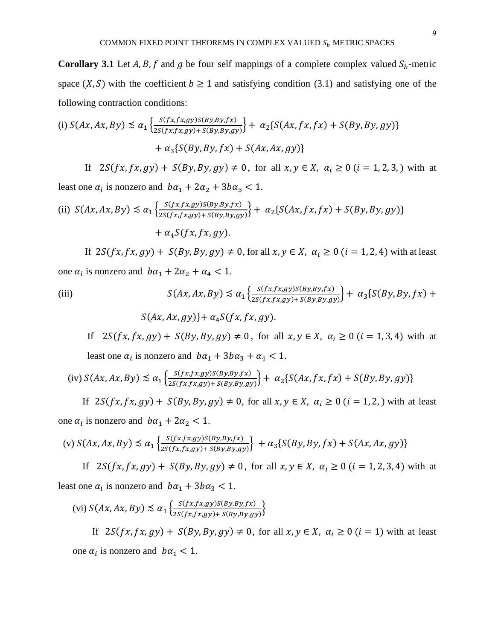**Corollary 3.1** Let  $A, B, f$  and  $g$  be four self mappings of a complete complex valued  $S_b$ -metric space  $(X, S)$  with the coefficient  $b \ge 1$  and satisfying condition (3.1) and satisfying one of the following contraction conditions:

(i) 
$$
S(Ax, Ax, By) \le \alpha_1 \left\{ \frac{S(fx, fx, gy)S(By, By, fx)}{2S(fx, fx, gy) + S(By, By, gy)} \right\} + \alpha_2 \{ S(Ax, fx, fx) + S(By, By, gy) \}
$$
  
  $+ \alpha_3 \{ S(By, By, fx) + S(Ax, Ax, gy) \}$ 

If  $2S(fx, fx, gy) + S(By, By, gy) \neq 0$ , for all  $x, y \in X$ ,  $\alpha_i \geq 0$  ( $i = 1, 2, 3$ , ) with at least one  $\alpha_i$  is nonzero and  $b\alpha_1 + 2\alpha_2 + 3b\alpha_3 < 1$ .

(ii) 
$$
S(Ax, Ax, By) \le \alpha_1 \left\{ \frac{S(fx, fx, gy)S(By, By, fx)}{2S(fx, fx, gy) + S(By, By, gy)} \right\} + \alpha_2 \{ S(Ax, fx, fx) + S(By, By, gy) \}
$$
  
  $+ \alpha_4 S(fx, fx, gy).$ 

If  $2S(fx, fx, gy) + S(By, By, gy) \neq 0$ , for all  $x, y \in X$ ,  $\alpha_i \geq 0$  ( $i = 1, 2, 4$ ) with at least one  $\alpha_i$  is nonzero and  $b\alpha_1 + 2\alpha_2 + \alpha_4 < 1$ .

(iii)  
\n
$$
S(Ax, Ax, By) \preceq \alpha_1 \left\{ \frac{S(fx, fx, gy)S(By, By, fx)}{2S(fx, fx, gy) + S(By, By, gy)} \right\} + \alpha_3 \left\{ S(By, By, fx) + S(Ax, Ax, gy) \right\} + \alpha_4 S(fx, fx, gy).
$$

If  $2S(fx, fx, gy) + S(By, By, gy) \neq 0$ , for all  $x, y \in X$ ,  $\alpha_i \geq 0$  ( $i = 1, 3, 4$ ) with at least one  $\alpha_i$  is nonzero and  $b\alpha_1 + 3b\alpha_3 + \alpha_4 < 1$ .

$$
(iv) S(Ax, Ax, By) \lesssim \alpha_1 \left\{ \frac{S(fx, fx, gy)S(By, By, fx)}{2S(fx, fx, gy) + S(By, By, gy)} \right\} + \alpha_2 \left\{ S(Ax, fx, fx) + S(By, By, gy) \right\}
$$

If  $2S(fx, fx, gy) + S(By, By, gy) \neq 0$ , for all  $x, y \in X$ ,  $\alpha_i \geq 0$  ( $i = 1, 2$ , ) with at least one  $\alpha_i$  is nonzero and  $b\alpha_1 + 2\alpha_2 < 1$ .

$$
\text{(v)}\ S(Ax, Ax, By) \lesssim \alpha_1 \left\{ \frac{S(fx, fx, gy)S(By, By, fx)}{2S(fx, fx, gy) + S(By, By, gy)} \right\} + \alpha_3 \{ S(By, By, fx) + S(Ax, Ax, gy) \}
$$

If  $2S(fx, fx, gy) + S(By, By, gy) \neq 0$ , for all  $x, y \in X$ ,  $\alpha_i \geq 0$  ( $i = 1, 2, 3, 4$ ) with at least one  $\alpha_i$  is nonzero and  $b\alpha_1 + 3b\alpha_3 < 1$ .

$$
(vi) S(Ax, Ax, By) \preceq \alpha_1 \left\{ \frac{s(fx, fx, gy)S(By, By, fx)}{2s(fx, fx, gy) + s(By, By, gy)} \right\}
$$
  
If  $2S(fx, fx, gy) + S(By, By, gy) \neq 0$ , for all  $x, y \in X$ ,  $\alpha_i \geq 0$  ( $i = 1$ ) with at least  
one  $\alpha_i$  is nonzero and  $b\alpha_1 < 1$ .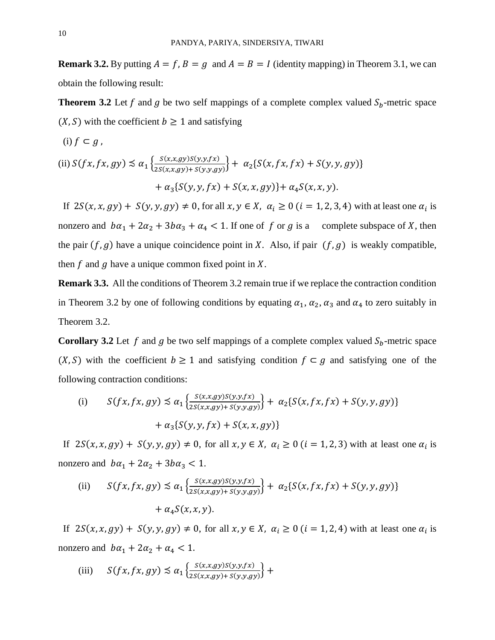**Remark 3.2.** By putting  $A = f$ ,  $B = g$  and  $A = B = I$  (identity mapping) in Theorem 3.1, we can obtain the following result:

**Theorem 3.2** Let f and g be two self mappings of a complete complex valued  $S_b$ -metric space  $(X, S)$  with the coefficient  $b \ge 1$  and satisfying

$$
(i) f \subset g,
$$

(ii) 
$$
S(fx, fx, gy) \preceq \alpha_1 \left\{ \frac{S(x, x, gy)S(y, y, fx)}{2S(x, x, gy) + S(y, y, gy)} \right\} + \alpha_2 \{ S(x, fx, fx) + S(y, y, gy) \}
$$
  
  $+ \alpha_3 \{ S(y, y, fx) + S(x, x, gy) \} + \alpha_4 S(x, x, y).$ 

If  $2S(x, x, gy) + S(y, y, gy) \neq 0$ , for all  $x, y \in X$ ,  $\alpha_i \geq 0$  ( $i = 1, 2, 3, 4$ ) with at least one  $\alpha_i$  is nonzero and  $b\alpha_1 + 2\alpha_2 + 3b\alpha_3 + \alpha_4 < 1$ . If one of f or g is a complete subspace of X, then the pair  $(f, g)$  have a unique coincidence point in X. Also, if pair  $(f, g)$  is weakly compatible, then  $f$  and  $g$  have a unique common fixed point in  $X$ .

**Remark 3.3.** All the conditions of Theorem 3.2 remain true if we replace the contraction condition in Theorem 3.2 by one of following conditions by equating  $\alpha_1, \alpha_2, \alpha_3$  and  $\alpha_4$  to zero suitably in Theorem 3.2.

**Corollary 3.2** Let f and g be two self mappings of a complete complex valued  $S_h$ -metric space  $(X, S)$  with the coefficient  $b \ge 1$  and satisfying condition  $f \subset g$  and satisfying one of the following contraction conditions:

(i) 
$$
S(fx, fx, gy) \le \alpha_1 \left\{ \frac{S(x, x, gy)S(y, y, fx)}{2S(x, x, gy) + S(y, y, gy)} \right\} + \alpha_2 \{ S(x, fx, fx) + S(y, y, gy) \}
$$
  
  $+ \alpha_3 \{ S(y, y, fx) + S(x, x, gy) \}$ 

If  $2S(x, x, gy) + S(y, y, gy) \neq 0$ , for all  $x, y \in X$ ,  $\alpha_i \geq 0$  ( $i = 1, 2, 3$ ) with at least one  $\alpha_i$  is nonzero and  $b\alpha_1 + 2\alpha_2 + 3b\alpha_3 < 1$ .

(ii) 
$$
S(fx, fx, gy) \leq \alpha_1 \left\{ \frac{S(x, x, gy)S(y, y, fx)}{2S(x, x, gy) + S(y, y, gy)} \right\} + \alpha_2 \{ S(x, fx, fx) + S(y, y, gy) \}
$$
  
  $+ \alpha_4 S(x, x, y).$ 

If  $2S(x, x, gy) + S(y, y, gy) \neq 0$ , for all  $x, y \in X$ ,  $\alpha_i \geq 0$  ( $i = 1, 2, 4$ ) with at least one  $\alpha_i$  is nonzero and  $b\alpha_1 + 2\alpha_2 + \alpha_4 < 1$ .

(iii) 
$$
S(fx, fx, gy) \preceq \alpha_1 \left\{ \frac{S(x, x, gy)S(y, y, fx)}{2S(x, x, gy) + S(y, y, gy)} \right\} +
$$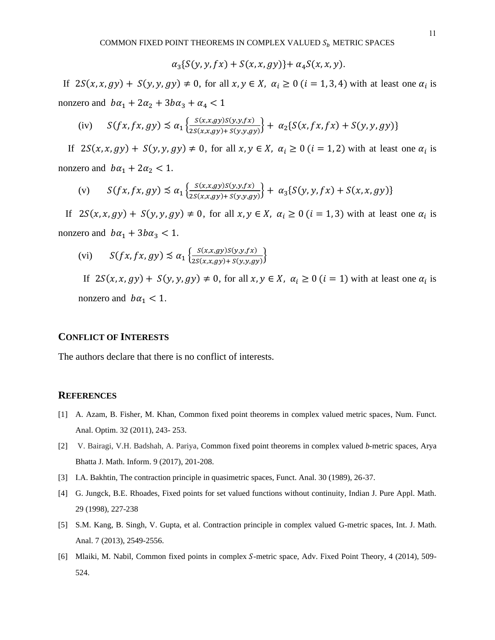$$
\alpha_3\{S(y,y,fx)+S(x,x,gy)\}+\alpha_4S(x,x,y).
$$

If  $2S(x, x, gy) + S(y, y, gy) \neq 0$ , for all  $x, y \in X$ ,  $\alpha_i \geq 0$  ( $i = 1, 3, 4$ ) with at least one  $\alpha_i$  is nonzero and  $b\alpha_1 + 2\alpha_2 + 3b\alpha_3 + \alpha_4 < 1$ 

(iv) 
$$
S(fx, fx, gy) \preceq \alpha_1 \left\{ \frac{S(x, x, gy)S(y, y, fx)}{2S(x, x, gy) + S(y, y, gy)} \right\} + \alpha_2 \left\{ S(x, fx, fx) + S(y, y, gy) \right\}
$$

If  $2S(x, x, gy) + S(y, y, gy) \neq 0$ , for all  $x, y \in X$ ,  $\alpha_i \geq 0$   $(i = 1, 2)$  with at least one  $\alpha_i$  is nonzero and  $b\alpha_1 + 2\alpha_2 < 1$ .

$$
\text{(v)} \qquad S(fx, fx, gy) \lesssim \alpha_1 \left\{ \frac{S(x, x, gy)S(y, y, fx)}{2S(x, x, gy) + S(y, y, gy)} \right\} + \alpha_3 \left\{ S(y, y, fx) + S(x, x, gy) \right\}
$$

If  $2S(x, x, gy) + S(y, y, gy) \neq 0$ , for all  $x, y \in X$ ,  $\alpha_i \geq 0$  ( $i = 1, 3$ ) with at least one  $\alpha_i$  is nonzero and  $b\alpha_1 + 3b\alpha_3 < 1$ .

$$
(vi) \tS(fx, fx, gy) \preceq \alpha_1 \left\{ \frac{S(x, x, gy)S(y, y, fx)}{2S(x, x, gy) + S(y, y, gy)} \right\}
$$

If  $2S(x, x, gy) + S(y, y, gy) \neq 0$ , for all  $x, y \in X$ ,  $\alpha_i \geq 0$   $(i = 1)$  with at least one  $\alpha_i$  is nonzero and  $b\alpha_1 < 1$ .

### **CONFLICT OF INTERESTS**

The authors declare that there is no conflict of interests.

## **REFERENCES**

- [1] A. Azam, B. Fisher, M. Khan, Common fixed point theorems in complex valued metric spaces, Num. Funct. Anal. Optim. 32 (2011), 243- 253.
- [2] V. Bairagi, V.H. Badshah, A. Pariya, Common fixed point theorems in complex valued *b*-metric spaces, Arya Bhatta J. Math. Inform. 9 (2017), 201-208.
- [3] I.A. Bakhtin, The contraction principle in quasimetric spaces, Funct. Anal. 30 (1989), 26-37.
- [4] G. Jungck, B.E. Rhoades, Fixed points for set valued functions without continuity, Indian J. Pure Appl. Math. 29 (1998), 227-238
- [5] S.M. Kang, B. Singh, V. Gupta, et al. Contraction principle in complex valued G-metric spaces, Int. J. Math. Anal. 7 (2013), 2549-2556.
- [6] Mlaiki, M. Nabil, Common fixed points in complex S-metric space, Adv. Fixed Point Theory, 4 (2014), 509-524.